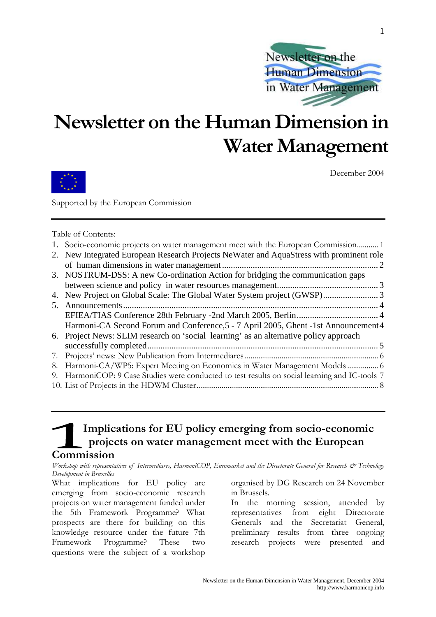

## Newsletter on the Human Dimension in Water Management



December 2004

Supported by the European Commission

Table of Contents:

|  | 1. Socio-economic projects on water management meet with the European Commission 1 |  |  |  |  |  |
|--|------------------------------------------------------------------------------------|--|--|--|--|--|
|  |                                                                                    |  |  |  |  |  |

- 2. New Integrated European Research Projects NeWater and AquaStress with prominent role of human dimensions in water management ....................................................................... 2 3. NOSTRUM-DSS: A new Co-ordination Action for bridging the communication gaps
- between science and policy in water resources management.............................................. 3
- 4. New Project on Global Scale: The Global Water System project (GWSP)......................... 3
- 5. Announcements.................................................................................................................... 4 EFIEA/TIAS Conference 28th February -2nd March 2005, Berlin..................................... 4 Harmoni-CA Second Forum and Conference,5 - 7 April 2005, Ghent -1st Announcement4
- 6. Project News: SLIM research on 'social learning' as an alternative policy approach successfully completed......................................................................................................... 5 #! \$% & \$ '!!!!!!!!!!!!!!!!!!!!!!!!!!!!!!!!!!!!!!!!!!!!!!!!!!!!!!!!!!!!!!!!!!!!! (
- )! \*+,-\$. /
0 0 0!!!!!!!!!!!!!!!! (
- 9. HarmoniCOP: 9 Case Studies were conducted to test results on social learning and IC-tools 7
- " ! 3\$ \*-- 0 !!!!!!!!!!!!!!!!!!!!!!!!!!!!!!!!!!!!!!!!!!!!!!!!!!!!!!!!!!!!!!!!!!!!!!!!!!!!!!!!!!!!!!!!!!!!!! )

## Implications for EU policy emerging from socio-economic projects on water management meet with the European Commission

Workshop with representatives of Intermediares, HarmoniCOP, Euromarket and the Directorate General for Research & Technology Development in Bruxelles

What implications for EU policy are emerging from socio-economic research projects on water management funded under the 5th Framework Programme? What prospects are there for building on this knowledge resource under the future 7th Framework Programme? These two questions were the subject of a workshop

organised by DG Research on 24 November in Brussels.

In the morning session, attended by representatives from eight Directorate Generals and the Secretariat General, preliminary results from three ongoing research projects were presented and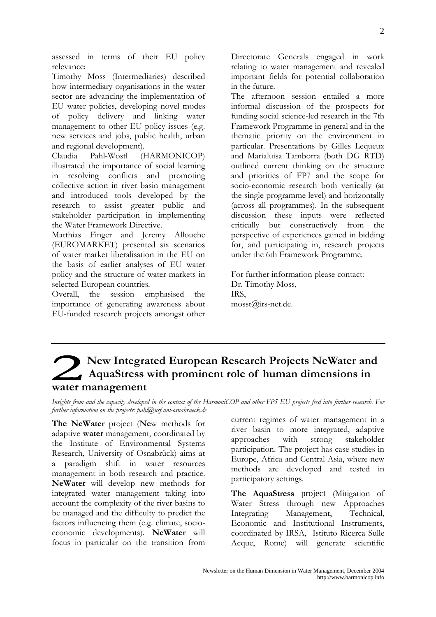assessed in terms of their EU policy relevance:

Timothy Moss (Intermediaries) described how intermediary organisations in the water sector are advancing the implementation of EU water policies, developing novel modes of policy delivery and linking water management to other EU policy issues (e.g. new services and jobs, public health, urban and regional development).

Claudia Pahl-Wostl (HARMONICOP) illustrated the importance of social learning in resolving conflicts and promoting collective action in river basin management and introduced tools developed by the research to assist greater public and stakeholder participation in implementing the Water Framework Directive.

Matthias Finger and Jeremy Allouche (EUROMARKET) presented six scenarios of water market liberalisation in the EU on the basis of earlier analyses of EU water policy and the structure of water markets in selected European countries.

Overall, the session emphasised the importance of generating awareness about EU-funded research projects amongst other Directorate Generals engaged in work relating to water management and revealed important fields for potential collaboration in the future

The afternoon session entailed a more informal discussion of the prospects for funding social science-led research in the 7th Framework Programme in general and in the thematic priority on the environment in particular. Presentations by Gilles Lequeux and Marialuisa Tamborra (both DG RTD) outlined current thinking on the structure and priorities of FP7 and the scope for socio-economic research both vertically (at the single programme level) and horizontally (across all programmes). In the subsequent discussion these inputs were reflected critically but constructively from the perspective of experiences gained in bidding for, and participating in, research projects under the 6th Framework Programme.

For further information please contact: Dr. Timothy Moss, TRS. mosst@irs-net.de.

## New Integrated European Research Projects NeWater and AquaStress with prominent role of human dimensions in water management

Insights from and the capacity developed in the context of the HarmoniCOP and other FP5 EU projects feed into further research. For further information on the projects: pahl@usf.uni-osnabrueck.de

The NeWater project (New methods for adaptive water management, coordinated by the Institute of Environmental Systems Research, University of Osnabrück) aims at paradigm shift in water resources  $\overline{a}$ management in both research and practice. NeWater will develop new methods for integrated water management taking into account the complexity of the river basins to be managed and the difficulty to predict the factors influencing them (e.g. climate, socioeconomic developments). NeWater will focus in particular on the transition from

current regimes of water management in a river basin to more integrated, adaptive approaches with strong stakeholder participation. The project has case studies in Europe, Africa and Central Asia, where new methods are developed and tested in participatory settings.

The AquaStress project (Mitigation of Water Stress through new Approaches Integrating Management, Technical. Economic and Institutional Instruments. coordinated by IRSA, Istituto Ricerca Sulle Acque, Rome) will generate scientific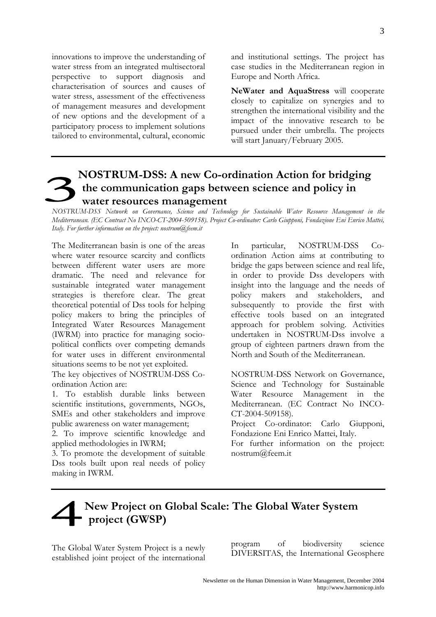innovations to improve the understanding of water stress from an integrated multisectoral perspective to support diagnosis and characterisation of sources and causes of water stress, assessment of the effectiveness of management measures and development of new options and the development of a participatory process to implement solutions tailored to environmental, cultural, economic

and institutional settings. The project has case studies in the Mediterranean region in Europe and North Africa.

NeWater and AquaStress will cooperate closely to capitalize on synergies and to strengthen the international visibility and the impact of the innovative research to be pursued under their umbrella. The projects will start January/February 2005.

## **NOSTRUM-DSS: A new Co-ordination Action for bridging** the communication gaps between science and policy in water resources management

NOSTRUM-DSS Network on Governance, Science and Technology for Sustainable Water Resource Management in the Mediterranean. (EC Contract No INCO-CT-2004-509158). Project Co-ordinator: Carlo Giupponi, Fondazione Eni Enrico Mattei, Italy. For further information on the project. nostrum $@$ feem.it

The Mediterranean basin is one of the areas where water resource scarcity and conflicts between different water users are more dramatic. The need and relevance for sustainable integrated water management strategies is therefore clear. The great theoretical potential of Dss tools for helping policy makers to bring the principles of Integrated Water Resources Management (IWRM) into practice for managing sociopolitical conflicts over competing demands for water uses in different environmental situations seems to be not yet exploited.

The key objectives of NOSTRUM-DSS Coordination Action are:

1. To establish durable links between scientific institutions, governments, NGOs, SMEs and other stakeholders and improve public awareness on water management;

2. To improve scientific knowledge and applied methodologies in IWRM;

3. To promote the development of suitable Dss tools built upon real needs of policy making in IWRM.

NOSTRUM-DSS  $Co-$ In particular, ordination Action aims at contributing to bridge the gaps between science and real life, in order to provide Dss developers with insight into the language and the needs of policy makers and stakeholders, and subsequently to provide the first with effective tools based on an integrated approach for problem solving. Activities undertaken in NOSTRUM-Dss involve a group of eighteen partners drawn from the North and South of the Mediterranean.

NOSTRUM-DSS Network on Governance. Science and Technology for Sustainable Water Resource Management in the Mediterranean. (EC Contract No INCO-CT-2004-509158).

Project Co-ordinator: Carlo Giupponi, Fondazione Eni Enrico Mattei, Italy.

For further information on the project: nostrum@feem.it

## New Project on Global Scale: The Global Water System project (GWSP)

The Global Water System Project is a newly established joint project of the international

 $\sigma$ f program biodiversity science DIVERSITAS, the International Geosphere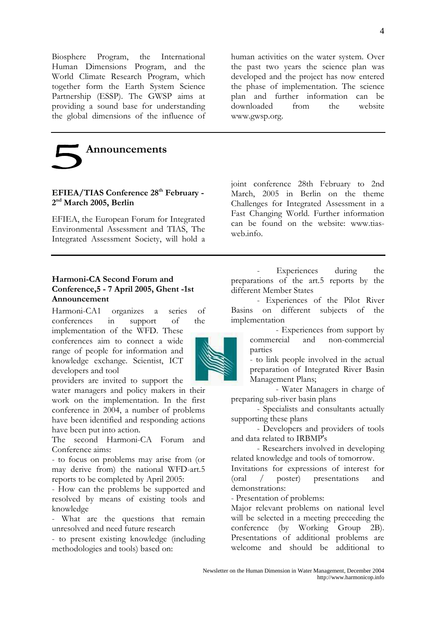Biosphere Program, the International Human Dimensions Program, and the World Climate Research Program, which together form the Earth System Science Partnership (ESSP). The GWSP aims at providing a sound base for understanding the global dimensions of the influence of

Announcements

#### EFIEA/TIAS Conference 28<sup>th</sup> February - $2<sup>nd</sup>$  March 2005, Berlin

EFIEA, the European Forum for Integrated Environmental Assessment and TIAS, The Integrated Assessment Society, will hold a

#### Harmoni-CA Second Forum and Conference, 5 - 7 April 2005, Ghent -1st Announcement

Harmoni-CA1 organizes a series  $\alpha$ f conferences  $in$ support  $\sigma$ f the

implementation of the WFD. These conferences aim to connect a wide range of people for information and knowledge exchange. Scientist, ICT developers and tool

providers are invited to support the water managers and policy makers in their work on the implementation. In the first conference in 2004, a number of problems have been identified and responding actions have been put into action.

The second Harmoni-CA Forum and Conference aims:

- to focus on problems may arise from (or may derive from) the national WFD-art.5 reports to be completed by April 2005:

- How can the problems be supported and resolved by means of existing tools and knowledge

- What are the questions that remain unresolved and need future research

- to present existing knowledge (including methodologies and tools) based on:

human activities on the water system. Over the past two years the science plan was developed and the project has now entered the phase of implementation. The science plan and further information can be downloaded  $from$ the website www.gwsp.org.

joint conference 28th February to 2nd March, 2005 in Berlin on the theme Challenges for Integrated Assessment in a Fast Changing World. Further information can be found on the website: www.tiasweb info

Experiences during the preparations of the art.5 reports by the different Member States

- Experiences of the Pilot River Basins on different subjects of the implementation

- Experiences from support by commercial and non-commercial parties

- to link people involved in the actual preparation of Integrated River Basin Management Plans;

- Water Managers in charge of preparing sub-river basin plans

- Specialists and consultants actually supporting these plans

- Developers and providers of tools and data related to IRBMP's

- Researchers involved in developing related knowledge and tools of tomorrow.

Invitations for expressions of interest for  $(1)$ poster) presentations and demonstrations:

- Presentation of problems:

Major relevant problems on national level will be selected in a meeting preceeding the conference (by Working Group  $2B$ ). Presentations of additional problems are welcome and should be additional to

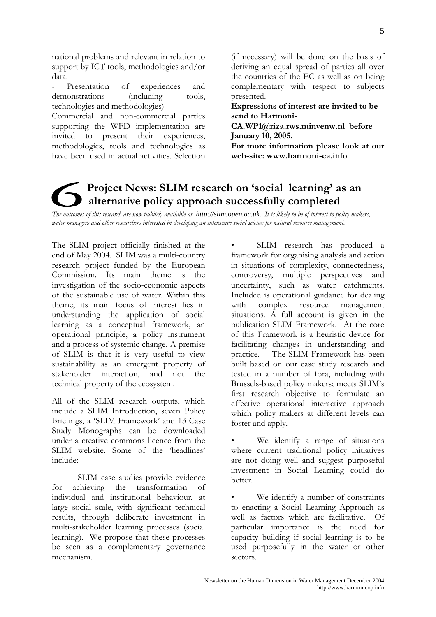national problems and relevant in relation to support by ICT tools, methodologies and/or data.

Presentation  $\alpha$ f experiences and demonstrations *(including)* tools. technologies and methodologies)

Commercial and non-commercial parties supporting the WFD implementation are invited to present their experiences. methodologies, tools and technologies as have been used in actual activities. Selection (if necessary) will be done on the basis of deriving an equal spread of parties all over the countries of the EC as well as on being complementary with respect to subjects presented.

Expressions of interest are invited to be send to Harmoni-

 $CA.WP1@riza.rws.minvenw.nl before$ January 10, 2005.

For more information please look at our web-site: www.harmoni-ca.info

## Project News: SLIM research on 'social learning' as an alternative policy approach successfully completed

The outcomes of this research are now publicly available at http://slim.open.ac.uk.. It is likely to be of interest to policy makers, water managers and other researchers interested in developing an interactive social science for natural resource management.

The SLIM project officially finished at the end of May 2004. SLIM was a multi-country research project funded by the European Commission. Its main theme is the investigation of the socio-economic aspects of the sustainable use of water. Within this theme, its main focus of interest lies in understanding the application of social learning as a conceptual framework, an operational principle, a policy instrument and a process of systemic change. A premise of SLIM is that it is very useful to view sustainability as an emergent property of stakeholder interaction, and not the technical property of the ecosystem.

All of the SLIM research outputs, which include a SLIM Introduction, seven Policy Briefings, a 'SLIM Framework' and 13 Case Study Monographs can be downloaded under a creative commons licence from the SLIM website. Some of the 'headlines' include:

SLIM case studies provide evidence for achieving the transformation individual and institutional behaviour, at large social scale, with significant technical results, through deliberate investment in multi-stakeholder learning processes (social learning). We propose that these processes be seen as a complementary governance mechanism.

SLIM research has produced a framework for organising analysis and action in situations of complexity, connectedness, controversy, multiple perspectives and uncertainty, such as water catchments. Included is operational guidance for dealing with complex resource management situations. A full account is given in the publication SLIM Framework. At the core of this Framework is a heuristic device for facilitating changes in understanding and practice. The SLIM Framework has been built based on our case study research and tested in a number of fora, including with Brussels-based policy makers; meets SLIM's first research objective to formulate an effective operational interactive approach which policy makers at different levels can foster and apply.

We identify a range of situations where current traditional policy initiatives are not doing well and suggest purposeful investment in Social Learning could do better.

We identify a number of constraints to enacting a Social Learning Approach as well as factors which are facilitative. Of particular importance is the need for capacity building if social learning is to be used purposefully in the water or other sectors.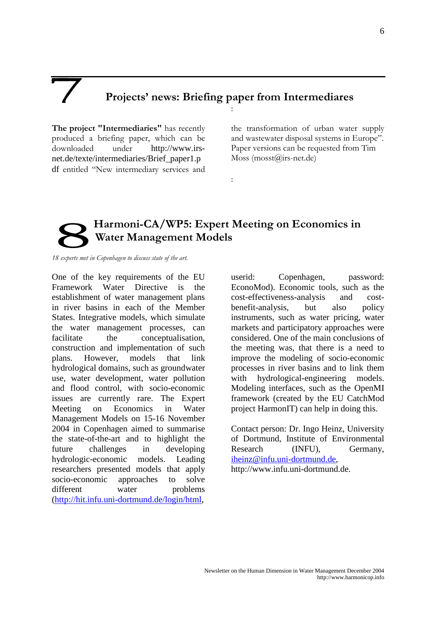### Projects' news: Briefing paper from Intermediares  $\vdots$

 $\mathbf{I}$ 

The project "Intermediaries" has recently produced a briefing paper, which can be downloaded under http://www.irsnet.de/texte/intermediaries/Brief\_paper1.p df entitled "New intermediary services and

the transformation of urban water supply and wastewater disposal systems in Europe". Paper versions can be requested from Tim Moss  $(mosst@irs-net.de)$ 

## Harmoni-CA/WP5: Expert Meeting on Economics in Water Management Models

18 experts met in Copenhagen to discuss state of the art.

One of the key requirements of the EU Framework Water Directive is the establishment of water management plans in river basins in each of the Member States. Integrative models, which simulate the water management processes, can facilitate the conceptualisation, construction and implementation of such plans. However, models that link hydrological domains, such as groundwater use, water development, water pollution and flood control, with socio-economic issues are currently rare. The Expert Meeting on Economics in Water Management Models on 15-16 November 2004 in Copenhagen aimed to summarise the state-of-the-art and to highlight the future challenges in developing hydrologic-economic models. Leading researchers presented models that apply socio-economic approaches to solve different water problems (http://hit.infu.uni-dortmund.de/login/html,

userid: Copenhagen, password: EconoMod). Economic tools, such as the cost-effectiveness-analysis and costbenefit-analysis, but also policy instruments, such as water pricing, water markets and participatory approaches were considered. One of the main conclusions of the meeting was, that there is a need to improve the modeling of socio-economic processes in river basins and to link them with hydrological-engineering models. Modeling interfaces, such as the OpenMI framework (created by the EU CatchMod project HarmonIT) can help in doing this.

Contact person: Dr. Ingo Heinz, University of Dortmund, Institute of Environmental Research (INFU), Germany, iheinz@infu.uni-dortmund.de, http://www.infu.uni-dortmund.de.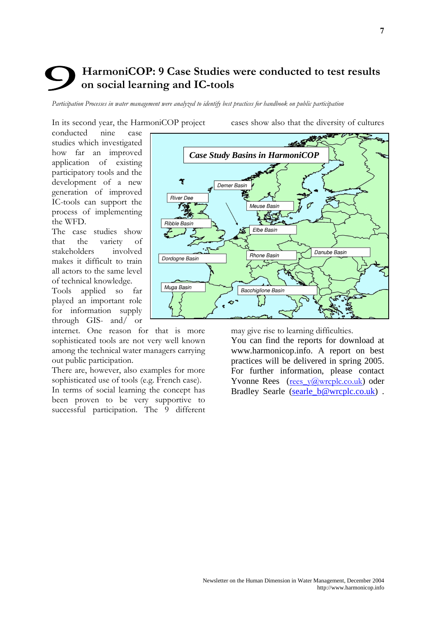## HarmoniCOP: 9 Case Studies were conducted to test results on social learning and IC-tools

Participation Processes in water management were analyzed to identify best practices for handbook on public participation

In its second year, the HarmoniCOP project

cases show also that the diversity of cultures

conducted nine case studies which investigated how far an improved application of existing participatory tools and the development of a new generation of improved IC-tools can support the process of implementing the WFD.

The case studies show that the variety of stakeholders involved makes it difficult to train all actors to the same level of technical knowledge.

Tools applied so far played an important role for information supply through GIS- and/ or

internet. One reason for that is more sophisticated tools are not very well known among the technical water managers carrying out public participation.

There are, however, also examples for more sophisticated use of tools (e.g. French case).

In terms of social learning the concept has been proven to be very supportive to successful participation. The 9 different



may give rise to learning difficulties.

You can find the reports for download at www.harmonicop.info. A report on best practices will be delivered in spring 2005. For further information, please contact Yvonne Rees (rees  $\sqrt{a}$  wrcplc.co.uk) oder Bradley Searle (searle\_b@wrcplc.co.uk) .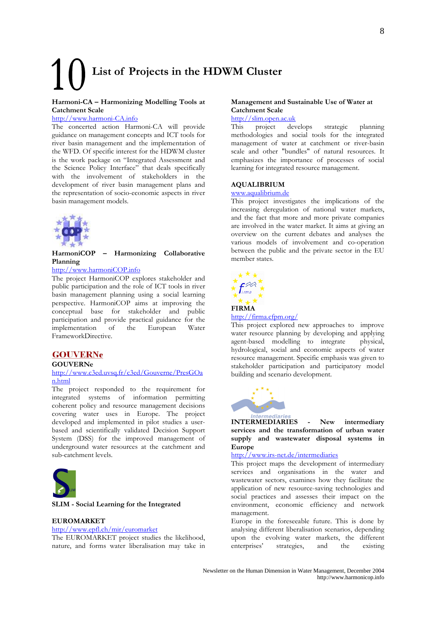# List of Projects in the HDWM Cluster

#### Harmoni-CA - Harmonizing Modelling Tools at **Catchment Scale**

#### http://www.harmoni-CA.info

The concerted action Harmoni-CA will provide guidance on management concepts and ICT tools for river basin management and the implementation of the WFD. Of specific interest for the HDWM cluster is the work package on "Integrated Assessment and the Science Policy Interface" that deals specifically<br>with the involvement of stakeholders in the development of river basin management plans and the representation of socio-economic aspects in river basin management models.



HarmoniCOP - Harmonizing Collaborative Planning

#### http://www.harmoniCOP.info

The project HarmoniCOP explores stakeholder and public participation and the role of ICT tools in river basin management planning using a social learning perspective. HarmoniCOP aims at improving the conceptual base for stakeholder and public participation and provide practical guidance for the implementation <sub>of</sub> the European Water FrameworkDirective.

#### **GOUVERNe**

**GOUVERNe** 

#### http://www.c3ed.uvsq.fr/c3ed/Gouverne/PresGOa n.html

The project responded to the requirement for integrated systems of information permitting coherent policy and resource management decisions covering water uses in Europe. The project developed and implemented in pilot studies a userbased and scientifically validated Decision Support System (DSS) for the improved management of underground water resources at the catchment and sub-catchment levels.



#### SLIM - Social Learning for the Integrated

#### **EUROMARKET**

#### http://www.epfl.ch/mir/euromarket

The EUROMARKET project studies the likelihood, nature, and forms water liberalisation may take in

#### Management and Sustainable Use of Water at Catchment Scale

#### http://slim.open.ac.uk

 $\overline{\text{This}}$ project develops strategic planning methodologies and social tools for the integrated management of water at catchment or river-basin scale and other "bundles" of natural resources. It emphasizes the importance of processes of social learning for integrated resource management.

#### **AQUALIBRIUM**

#### www.aqualibrium.de

This project investigates the implications of the increasing deregulation of national water markets, and the fact that more and more private companies are involved in the water market. It aims at giving an overview on the current debates and analyses the various models of involvement and co-operation between the public and the private sector in the EU member states.



#### http://firma.cfpm.org/

This project explored new approaches to improve water resource planning by developing and applying agent-based modelling to integrate physical, hydrological, social and economic aspects of water resource management. Specific emphasis was given to stakeholder participation and participatory model building and scenario development.



**INTERMEDIARIES** New intermediary services and the transformation of urban water supply and wastewater disposal systems in Europe

#### http://www.irs-net.de/intermediaries

This project maps the development of intermediary services and organisations in the water and wastewater sectors, examines how they facilitate the application of new resource-saving technologies and social practices and assesses their impact on the environment, economic efficiency and network management.

Europe in the foreseeable future. This is done by analysing different liberalisation scenarios, depending upon the evolving water markets, the different enterprises' strategies, and the existing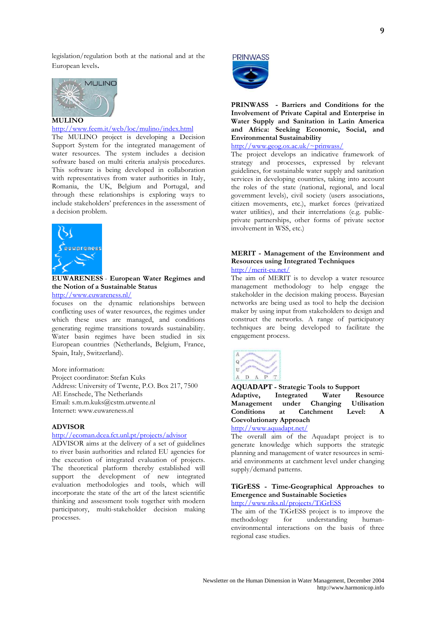legislation/regulation both at the national and at the European levels.



#### http://www.feem.it/web/loc/mulino/index.html

The MULINO project is developing a Decision Support System for the integrated management of water resources. The system includes a decision software based on multi criteria analysis procedures. This software is being developed in collaboration with representatives from water authorities in Italy, Romania, the UK, Belgium and Portugal, and through these relationships is exploring ways to include stakeholders' preferences in the assessment of a decision problem.



**EUWARENESS** - European Water Regimes and the Notion of a Sustainable Status http://www.euwareness.nl/

focuses on the dynamic relationships between conflicting uses of water resources, the regimes under which these uses are managed, and conditions generating regime transitions towards sustainability. Water basin regimes have been studied in six European countries (Netherlands, Belgium, France, Spain, Italy, Switzerland).

More information: Project coordinator: Stefan Kuks Address: University of Twente, P.O. Box 217, 7500 AE Enschede, The Netherlands Email: s.m.m.kuks@cstm.utwente.nl Internet: www.euwareness.nl

#### **ADVISOR**

#### http://ecoman.dcea.fct.unl.pt/projects/advisor

ADVISOR aims at the delivery of a set of guidelines to river basin authorities and related EU agencies for the execution of integrated evaluation of projects. The theoretical platform thereby established will support the development of new integrated evaluation methodologies and tools, which will incorporate the state of the art of the latest scientific thinking and assessment tools together with modern participatory, multi-stakeholder decision making processes.



PRINWASS - Barriers and Conditions for the Involvement of Private Capital and Enterprise in Water Supply and Sanitation in Latin America and Africa: Seeking Economic, Social, and **Environmental Sustainability** 

 $http://www.geog.ox.ac.uk/~prinwass/$ 

The project develops an indicative framework of strategy and processes, expressed by relevant guidelines, for sustainable water supply and sanitation services in developing countries, taking into account the roles of the state (national, regional, and local government levels), civil society (users associations, citizen movements, etc.), market forces (privatized water utilities), and their interrelations (e.g. publicprivate partnerships, other forms of private sector involvement in WSS, etc.)

#### MERIT - Management of the Environment and **Resources using Integrated Techniques** http://merit-eu.net/

The aim of MERIT is to develop a water resource management methodology to help engage the stakeholder in the decision making process. Bayesian networks are being used as tool to help the decision maker by using input from stakeholders to design and construct the networks. A range of participatory techniques are being developed to facilitate the engagement process.



**AOUADAPT** - Strategic Tools to Support Adaptive. Integrated Water Resource Management under Changing **Utilisation Conditions** <sub>at</sub> Catchment  $I$  evel:  $\mathbf{A}$ **Coevolutionary Approach** 

http://www.aquadapt.net/

The overall aim of the Aquadapt project is to generate knowledge which supports the strategic planning and management of water resources in semiarid environments at catchment level under changing supply/demand patterns.

#### TiGrESS - Time-Geographical Approaches to **Emergence and Sustainable Societies**

http://www.riks.nl/projects/TiGrESS

The aim of the TiGrESS project is to improve the methodology  $for$ understanding  $h$ <sup>1</sup> environmental interactions on the basis of three regional case studies.